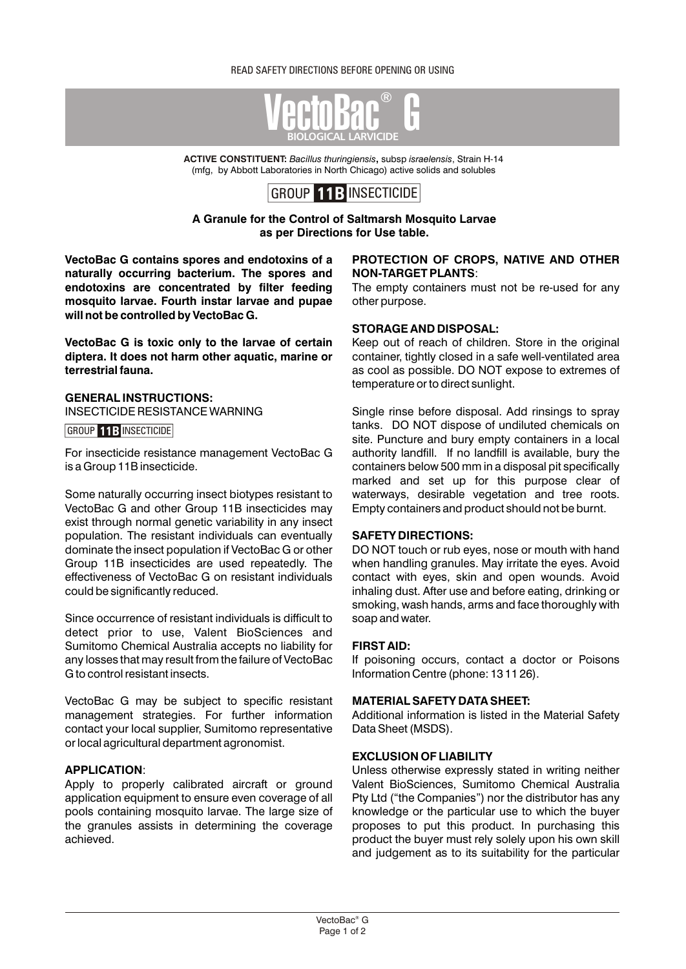## READ SAFETY DIRECTIONS BEFORE OPENING OR USING



**ACTIVE CONSTITUENT:** *Bacillus thuringiensis***,** subsp *israelensis*, Strain H-14 (mfg, by Abbott Laboratories in North Chicago) active solids and solubles



**A Granule for the Control of Saltmarsh Mosquito Larvae as per Directions for Use table.**

**naturally occurring bacterium. The spores and NON-TARGET PLANTS**: **endotoxins are concentrated by filter feeding** The empty containers must not be re-used for any **mosquito larvae. Fourth instar larvae and pupae** other purpose. **will not be controlled by VectoBac G.**

**VectoBac G is toxic only to the larvae of certain** Keep out of reach of children. Store in the original **diptera. It does not harm other aquatic, marine or** container, tightly closed in a safe well-ventilated area

## **GENERAL INSTRUCTIONS:**<br>INSECTICIDE RESISTANCE WARNING

## GROUP **11B** INSECTICIDE

is a Group 11B insecticide. containers below 500 mm in a disposal pit specifically

Some naturally occurring insect biotypes resistant to waterways, desirable vegetation and tree roots. VectoBac G and other Group 11B insecticides may Empty containers and product should not be burnt. exist through normal genetic variability in any insect population. The resistant individuals can eventually **SAFETY DIRECTIONS:**  dominate the insect population if VectoBac G or other DO NOT touch or rub eyes, nose or mouth with hand Group 11B insecticides are used repeatedly. The when handling granules. May irritate the eyes. Avoid effectiveness of VectoBac G on resistant individuals contact with eyes, skin and open wounds. Avoid could be significantly reduced. inhaling dust. After use and before eating, drinking or

Since occurrence of resistant individuals is difficult to soap and water. detect prior to use, Valent BioSciences and Sumitomo Chemical Australia accepts no liability for **FIRST AID:** any losses that may result from the failure of VectoBac If poisoning occurs, contact a doctor or Poisons G to control resistant insects. The state of the control resistant insects. Information Centre (phone: 13 11 26).

VectoBac G may be subject to specific resistant **MATERIAL SAFETY DATA SHEET:** management strategies. For further information Additional information is listed in the Material Safety contact your local supplier, Sumitomo representative Data Sheet (MSDS). or local agricultural department agronomist.

application equipment to ensure even coverage of all Pty Ltd ("the Companies") nor the distributor has any pools containing mosquito larvae. The large size of knowledge or the particular use to which the buyer pools containing mosquito larvae. The large size of knowledge or the particular use to which the buyer<br>the granules assists in determining the coverage proposes to put this product. In purchasing this the granules assists in determining the coverage proposes to put this product. In purchasing this achieved.

# **VectoBac G contains spores and endotoxins of a PROTECTION OF CROPS, NATIVE AND OTHER**

## **STORAGE AND DISPOSAL:**

as cool as possible. DO NOT expose to extremes of temperature or to direct sunlight.

Single rinse before disposal. Add rinsings to spray tanks. DO NOT dispose of undiluted chemicals on site. Puncture and bury empty containers in a local For insecticide resistance management VectoBac G authority landfill. If no landfill is available, bury the marked and set up for this purpose clear of

smoking, wash hands, arms and face thoroughly with

### **EXCLUSION OF LIABILITY**

**APPLICATION**: Unless otherwise expressly stated in writing neither Apply to properly calibrated aircraft or ground Valent BioSciences, Sumitomo Chemical Australia product the buyer must rely solely upon his own skill and judgement as to its suitability for the particular